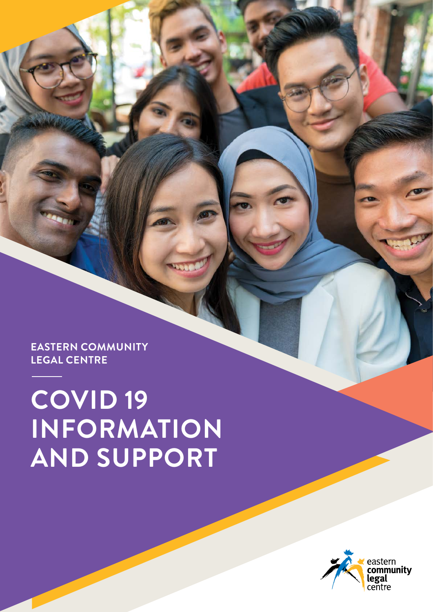**EASTERN COMMUNITY LEGAL CENTRE**

**COVID 19 INFORMATION AND SUPPORT**

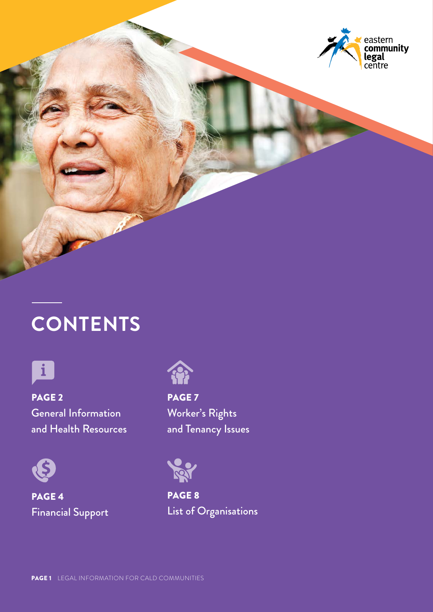

# **CONTENTS**



PAGE 2 General Information and Health Resources



PAGE 4 Financial Support



PAGE<sub>7</sub> Worker's Rights and Tenancy Issues



PAGE 8 List of Organisations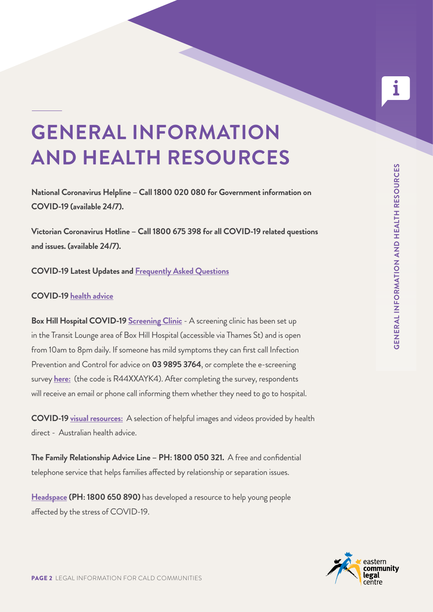**GENERAL INFORMATION AND HEALTH RESOURCES**

**GENERAL INFORMATION AND HEALTH RESOURCES** 

## **GENERAL INFORMATION AND HEALTH RESOURCES**

**National Coronavirus Helpline – Call 1800 020 080 for Government information on COVID-19 (available 24/7).** 

**Victorian Coronavirus Hotline – Call 1800 675 398 for all COVID-19 related questions and issues. (available 24/7).**

**COVID-19 Latest Updates and [Frequently Asked Questions](https://www.dhhs.vic.gov.au/coronavirus)**

#### **COVID-19 [health advice](https://www.health.gov.au/news/health-alerts/novel-coronavirus-2019-ncov-health-alert)**

**Box Hill Hospital COVID-19 [Screening Clinic](https://redcap.easternhealth.org.au/surveys/)** - A screening clinic has been set up in the Transit Lounge area of Box Hill Hospital (accessible via Thames St) and is open from 10am to 8pm daily. If someone has mild symptoms they can first call Infection Prevention and Control for advice on **03 9895 3764**, or complete the e-screening survey **[here:](https://redcap.easternhealth.org.au/surveys/)** (the code is R44XXAYK4). After completing the survey, respondents will receive an email or phone call informing them whether they need to go to hospital.

**COVID-19 [visual resources:](https://www.healthdirect.gov.au/coronavirus-covid-19-in-pictures)** A selection of helpful images and videos provided by health direct - Australian health advice.

**The Family Relationship Advice Line – PH: 1800 050 321.** A free and confidential telephone service that helps families affected by relationship or separation issues.

**[Headspace \(](https://headspace.org.au/young-people/how-to-cope-with-stress-related-to-covid-19/)PH: 1800 650 890)** has developed a resource to help young people affected by the stress of COVID-19.

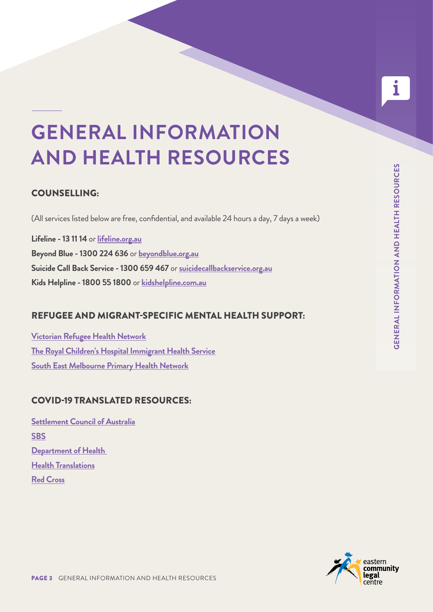**GENERAL INFORMATION AND HEALTH RESOURCES**

**GENERAL INFORMATION AND HEALTH RESOURCES** 

## **GENERAL INFORMATION AND HEALTH RESOURCES**

#### COUNSELLING:

(All services listed below are free, confidential, and available 24 hours a day, 7 days a week)

**Lifeline - 13 11 14** or **[lifeline.org.au](https://www.lifeline.org.au) Beyond Blue - 1300 224 636** or **[beyondblue.org.au](www.beyondblue.org.au) Suicide Call Back Service - 1300 659 467** or **[suicidecallbackservice.org.au](www.suicidecallbackservice.org.au) Kids Helpline - 1800 55 1800** or **[kidshelpline.com.au](www.kidshelpline.com.au)**

#### REFUGEE AND MIGRANT-SPECIFIC MENTAL HEALTH SUPPORT:

**[Victorian Refugee Health Network](https://refugeehealthnetwork.org.au/refer/mental-health-services/) [The Royal Children's Hospital Immigrant Health Service](https://www.rch.org.au/immigranthealth/clinical/Mental_health/) [South East Melbourne Primary Health Network](https://www.semphn.org.au/resources/mental-health.html)**

#### COVID-19 TRANSLATED RESOURCES:

**[Settlement Council of Australia](http://scoa.org.au/category/sector-collaboration/sector-updates/) [SBS](https://www.sbs.com.au/language/coronavirus) Department of Health [Health Translations](https://www.healthtranslations.vic.gov.au/bhcv2/bhcht.nsf/PresentEnglishResourceAll?Open&x=&s=Coronavirus) [Red Cross](https://www.redcross.org.au/coronavirus)**

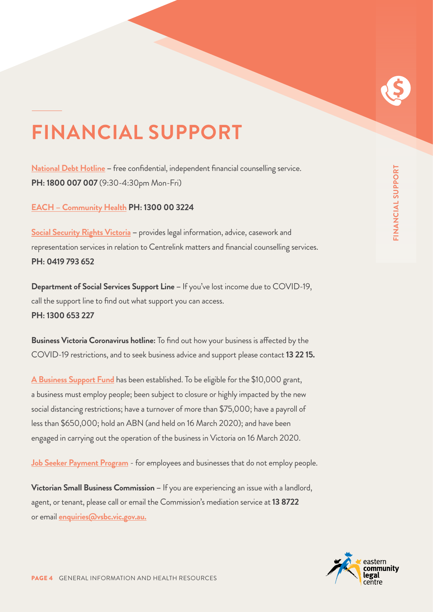

**FINANCIAL SUPPORT**

**FINANCIAL SUPPORT** 

## **FINANCIAL SUPPORT**

**[National Debt Hotline](https://ndh.org.au) –** free confidential, independent financial counselling service. **PH: 1800 007 007** (9:30-4:30pm Mon-Fri)

**[EACH – Community Health](https://www.each.com.au) PH: 1300 00 3224**

**[Social Security Rights Victoria](http://www.ssrv.org.au) –** provides legal information, advice, casework and representation services in relation to Centrelink matters and financial counselling services. **PH: 0419 793 652**

**Department of Social Services Support Line –** If you've lost income due to COVID-19, call the support line to find out what support you can access. **PH: 1300 653 227**

**Business Victoria Coronavirus hotline:** To find out how your business is affected by the COVID-19 restrictions, and to seek business advice and support please contact **13 22 15.**

**[A Business Support Fund](https://www.business.vic.gov.au/disputes-disasters-and-succession-planning/coronavirus-covid-19/coronavirus-business-support)** has been established. To be eligible for the \$10,000 grant, a business must employ people; been subject to closure or highly impacted by the new social distancing restrictions; have a turnover of more than \$75,000; have a payroll of less than \$650,000; hold an ABN (and held on 16 March 2020); and have been engaged in carrying out the operation of the business in Victoria on 16 March 2020.

**[Job Seeker Payment Program](https://www.servicesaustralia.gov.au/individuals/services/centrelink/jobseeker-payment)** - for employees and businesses that do not employ people.

**Victorian Small Business Commission –** If you are experiencing an issue with a landlord, agent, or tenant, please call or email the Commission's mediation service at **13 8722** or email **enquiries@vsbc.vic.gov.au.**



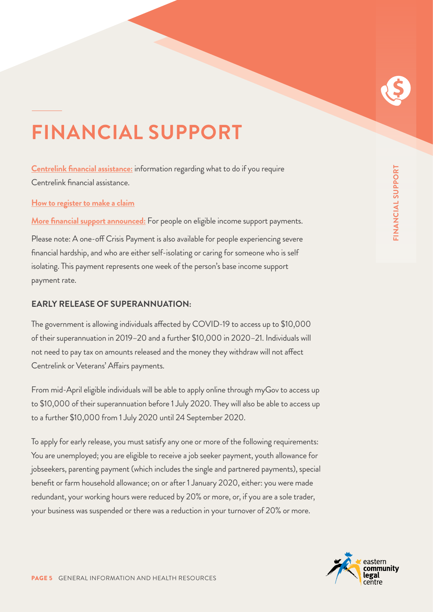

## **FINANCIAL SUPPORT**

**[Centrelink financial assistance:](https://www.servicesaustralia.gov.au/individuals/subjects/affected-coronavirus-covid-19/if-you-need-payment-coronavirus-covid-19)** information regarding what to do if you require Centrelink financial assistance.

**[How to register to make a claim](https://www.servicesaustralia.gov.au/individuals/subjects/affected-coronavirus-covid-19/if-you-need-payment-coronavirus-covid-19/how-register-your-intention-claim-centrelink-payment-coronavirus-covid-19)**

**[More financial support announced:](https://www.servicesaustralia.gov.au/individuals/news/more-financial-support-people-affected-coronavirus)** For people on eligible income support payments.

Please note: A one-off Crisis Payment is also available for people experiencing severe financial hardship, and who are either self-isolating or caring for someone who is self isolating. This payment represents one week of the person's base income support payment rate.

#### **EARLY RELEASE OF SUPERANNUATION:**

The government is allowing individuals affected by COVID-19 to access up to \$10,000 of their superannuation in 2019–20 and a further \$10,000 in 2020–21. Individuals will not need to pay tax on amounts released and the money they withdraw will not affect Centrelink or Veterans' Affairs payments.

From mid-April eligible individuals will be able to apply online through myGov to access up to \$10,000 of their superannuation before 1 July 2020. They will also be able to access up to a further \$10,000 from 1 July 2020 until 24 September 2020.

To apply for early release, you must satisfy any one or more of the following requirements: You are unemployed; you are eligible to receive a job seeker payment, youth allowance for jobseekers, parenting payment (which includes the single and partnered payments), special benefit or farm household allowance; on or after 1 January 2020, either: you were made redundant, your working hours were reduced by 20% or more, or, if you are a sole trader, your business was suspended or there was a reduction in your turnover of 20% or more.

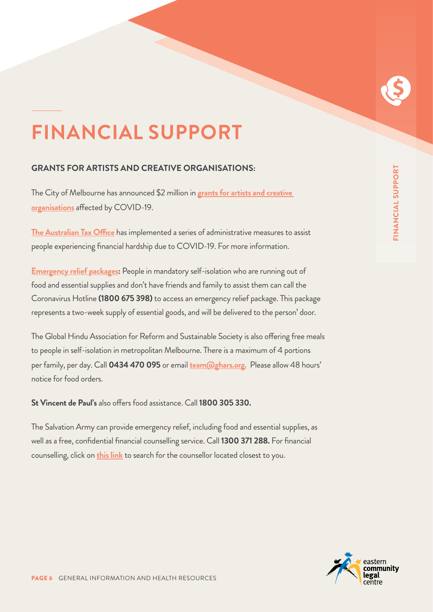## **FINANCIAL SUPPORT**

#### **GRANTS FOR ARTISTS AND CREATIVE ORGANISATIONS:**

[The City of Melbourne has announced \\$2 million in](https://www.melbourne.vic.gov.au/news-and-media/Pages/Grants-open-for-arts-organisations-affected-by-COVID-19.aspx) **grants for artists and creative organisations** affected by COVID-19.

**[The Australian Tax Office](https://www.ato.gov.au/Individuals/Dealing-with-disasters/In-detail/Specific-disasters/COVID-19/?=redirected_COVID)** has implemented a series of administrative measures to assist people experiencing financial hardship due to COVID-19. For more information.

**[Emergency relief packages:](https://www.premier.vic.gov.au/emergency-relief-packages-for-victorians-who-need-it-most/)** People in mandatory self-isolation who are running out of food and essential supplies and don't have friends and family to assist them can call the Coronavirus Hotline **(1800 675 398)** to access an emergency relief package. This package represents a two-week supply of essential goods, and will be delivered to the person' door.

The Global Hindu Association for Reform and Sustainable Society is also offering free meals to people in self-isolation in metropolitan Melbourne. There is a maximum of 4 portions per family, per day. Call **0434 470 095** or email **team@ghars.org.** Please allow 48 hours' notice for food orders.

**St Vincent de Paul's** also offers food assistance. Call **1800 305 330.**

The Salvation Army can provide emergency relief, including food and essential supplies, as well as a free, confidential financial counselling service. Call **1300 371 288.** For financial counselling, click on **[this link](https://www.salvationarmy.org.au/need-help/financial-assistance/financial-counselling/)** to search for the counsellor located closest to you.

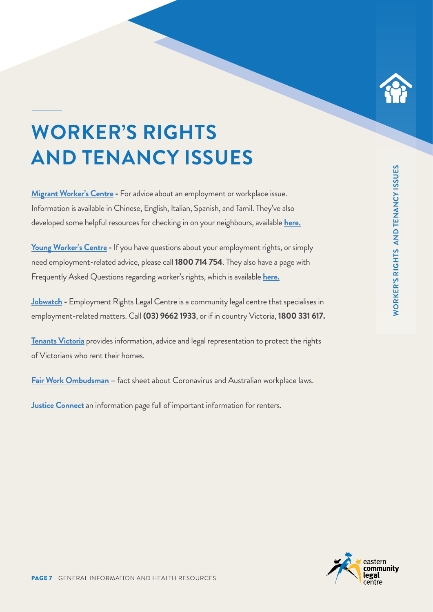

## **WORKER'S RIGHTS AND TENANCY ISSUES**

**[Migrant Worker's Centre -](https://www.migrantworkers.org.au/get_help)** For advice about an employment or workplace issue. Information is available in Chinese, English, Italian, Spanish, and Tamil. They've also developed some helpful resources for checking in on your neighbours, available **[here.](https://www.migrantworkers.org.au/english_resources)**

**[Young Worker's Centre -](http://www.youngworkers.org.au/covid_19_your_rights_at_work)** If you have questions about your employment rights, or simply need employment-related advice, please call **1800 714 754**. They also have a page with Frequently Asked Questions regarding worker's rights, which is available **[here.](http://www.youngworkers.org.au/covid_19_your_rights_at_work)**

**[Jobwatch](http://jobwatch.org.au) -** Employment Rights Legal Centre is a community legal centre that specialises in employment-related matters. Call **(03) 9662 1933**, or if in country Victoria, **1800 331 617.** 

**[Tenants Victoria](https://www.tenantsvic.org.au)** provides information, advice and legal representation to protect the rights of Victorians who rent their homes.

**[Fair Work Ombudsman –](https://coronavirus.fairwork.gov.au)** fact sheet about Coronavirus and Australian workplace laws.

**[Justice Connect](https://justiceconnect.org.au/resources/how-does-covid-19-affect-victorian-renters/)** an information page full of important information for renters.

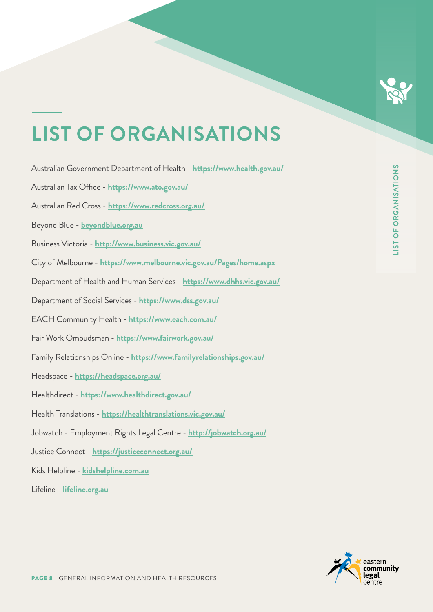

#### **LIST OF ORGANISATIONS**

Australian Government Department of Health - **https://www.health.gov.au/** Australian Tax Office - **https://www.ato.gov.au/** Australian Red Cross - **https://www.redcross.org.au/** Beyond Blue - **beyondblue.org.au** Business Victoria - **http://www.business.vic.gov.au/** City of Melbourne - **https://www.melbourne.vic.gov.au/Pages/home.aspx** Department of Health and Human Services - **https://www.dhhs.vic.gov.au/** Department of Social Services - **https://www.dss.gov.au/** EACH Community Health - **https://www.each.com.au/** Fair Work Ombudsman - **https://www.fairwork.gov.au/** Family Relationships Online - **https://www.familyrelationships.gov.au/** Headspace - **https://headspace.org.au/** Healthdirect - **https://www.healthdirect.gov.au/** Health Translations - **https://healthtranslations.vic.gov.au/** Jobwatch - Employment Rights Legal Centre - **http://jobwatch.org.au/** Justice Connect - **https://justiceconnect.org.au/** Kids Helpline - **kidshelpline.com.au** Lifeline - **lifeline.org.au**